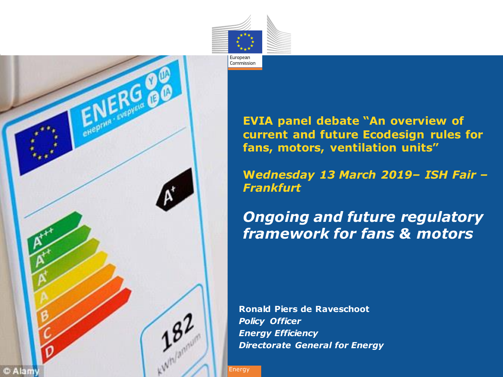



**EVIA panel debate "An overview of current and future Ecodesign rules for fans, motors, ventilation units"**

**W***ednesday 13 March 2019– ISH Fair – Frankfurt* 

*Ongoing and future regulatory framework for fans & motors*

**Ronald Piers de Raveschoot**  *Policy Officer Energy Efficiency Directorate General for Energy*

**Energy**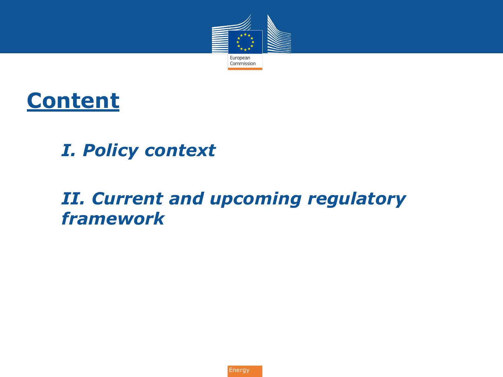



### *I. I. Policy context*

### *II. II. Current and upcoming regulatory framework*

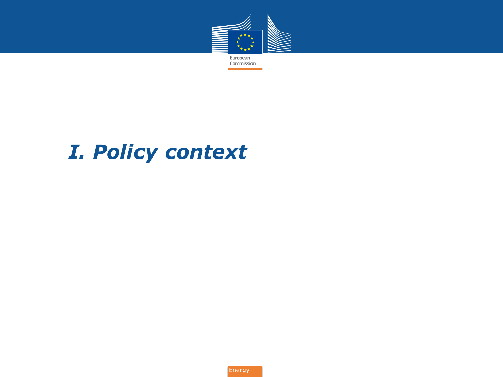

## *I. I. Policy context*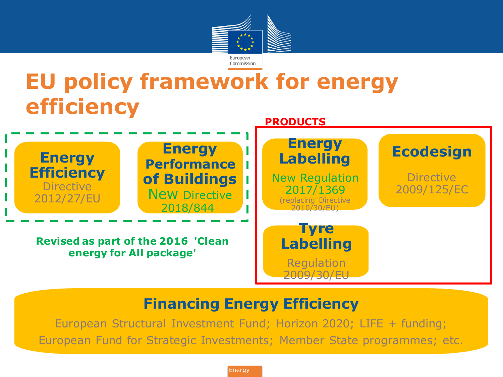

## **EU policy framework for energy efficiency**



#### **Financing Energy Efficiency**

European Structural Investment Fund; Horizon 2020; LIFE + funding; European Fund for Strategic Investments; Member State programmes; etc.

**Energy**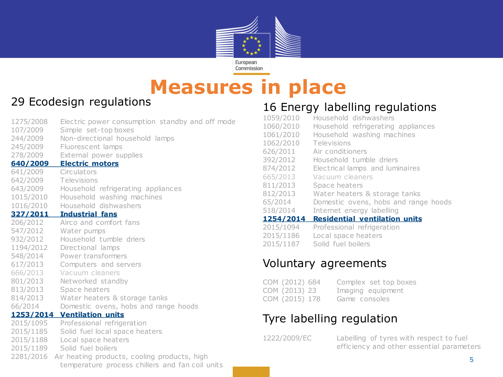

### **Measures in place**

#### 29 Ecodesign regulations

| 1275/2008<br>107/2009<br>244/2009 | Electric power consumption standby and off mode<br>Simple set-top boxes<br>Non-directional household lamps |
|-----------------------------------|------------------------------------------------------------------------------------------------------------|
| 245/2009                          | Fluorescent lamps                                                                                          |
| 278/2009                          | External power supplies                                                                                    |
| 640/2009                          | <b>Electric motors</b>                                                                                     |
| 641/2009                          | Circulators                                                                                                |
| 642/2009                          | Televisions                                                                                                |
| 643/2009                          | Household refrigerating appliances                                                                         |
| 1015/2010                         | Household washing machines                                                                                 |
| 1016/2010                         | Household dishwashers                                                                                      |
| <u>327/2011</u>                   | <b>Industrial fans</b>                                                                                     |
| 206/2012                          | Airco and comfort fans                                                                                     |
| 547/2012                          | Water pumps                                                                                                |
| 932/2012                          | Household tumble driers                                                                                    |
| 1194/2012                         | Directional lamps                                                                                          |
| 548/2014                          | Power transformers                                                                                         |
| 617/2013                          | Computers and servers                                                                                      |
| 666/2013                          | Vacuum cleaners                                                                                            |
| 801/2013                          | Networked standby                                                                                          |
| 813/2013                          | Space heaters                                                                                              |
| 814/2013                          | Water heaters & storage tanks                                                                              |
| 66/2014                           | Domestic ovens, hobs and range hoods                                                                       |
| 2015/1095                         | 1253/2014 Ventilation units<br>Professional refrigeration                                                  |
| 2015/1185                         | Solid fuel local space heaters                                                                             |
| 2015/1188                         | Local space heaters                                                                                        |
| 2015/1189                         | Solid fuel boilers                                                                                         |
| 2281/2016                         | Air heating products, cooling products, high                                                               |
|                                   | temperature process chillers and fan coil units                                                            |

#### 16 Energy labelling regulations

| 2015/1094 | Professional refrigeration           |
|-----------|--------------------------------------|
| 1254/2014 | <b>Residential ventilation units</b> |
| 518/2014  | Internet energy labelling            |
| 65/2014   | Domestic ovens, hobs and range hoods |
| 812/2013  | Water heaters & storage tanks        |
| 811/2013  | Space heaters                        |
| 665/2013  | Vacuum cleaners                      |
| 874/2012  | Electrical lamps and luminaires      |
| 392/2012  | Household tumble driers              |
| 626/2011  | Air conditioners                     |
| 1062/2010 | Televisions                          |
| 1061/2010 | Household washing machines           |
| 1060/2010 | Household refrigerating appliances   |
| 1059/2010 | Household dishwashers                |

- 2015/1186 Local space heaters
- 2015/1187 Solid fuel boilers

#### Voluntary agreements

| COM (2012) 684 | Complex set top boxes |
|----------------|-----------------------|
| COM (2013) 23  | Imaging equipment     |
| COM (2015) 178 | Game consoles         |

#### Tyre labelling regulation

1222/2009/EC Labelling of tyres with respect to fuel efficiency and other essential parameters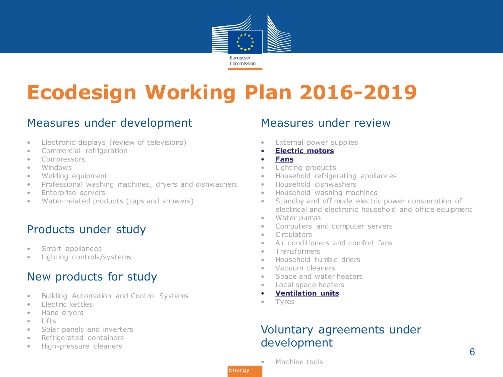

## **Ecodesign Working Plan 2016-2019**

#### Measures under development

- Electronic displays (review of televisions)
- Commercial refrigeration
- Compressors
- Windows
- Welding equipment
- Professional washing machines, dryers and dishwashers
- Enterprise servers
- Water-related products (taps and showers)

#### Products under study

- Smart appliances
- Lighting controls/systems

#### New products for study

- Building Automation and Control Systems
- Electric kettles
- Hand dryers
- Lifts
- Solar panels and inverters
- Refrigerated containers
- High-pressure cleaners

#### Measures under review

- External power supplies
- **Electric motors**
- **Fans**
- Lighting products
- Household refrigerating appliances
- Household dishwashers
- Household washing machines
- Standby and off mode electric power consumption of electrical and electronic household and office equipment
- Water pumps
- Computers and computer servers
- Circulators
- Air conditioners and comfort fans
- Transformers
- Household tumble driers
- Vacuum cleaners
- Space and water heaters
- Local space heaters
- **Ventilation units**
- Tyres

#### Voluntary agreements under development

Machine tools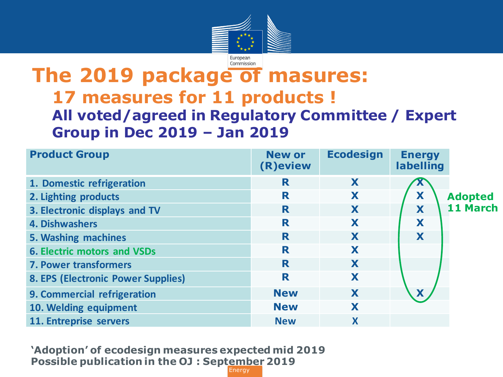

### **The 2019 package of masures: 17 measures for 11 products ! All voted/agreed in Regulatory Committee / Expert Group in Dec 2019 – Jan 2019**

Commission

| <b>Product Group</b>                      | <b>New or</b><br>(R) eview | <b>Ecodesign</b> | <b>Energy</b><br>labelling |                |
|-------------------------------------------|----------------------------|------------------|----------------------------|----------------|
| 1. Domestic refrigeration                 | R                          | X                |                            |                |
| 2. Lighting products                      | R                          | X                | X                          | <b>Adopted</b> |
| 3. Electronic displays and TV             | R                          | X                | X                          | 11 March       |
| <b>4. Dishwashers</b>                     | R                          | X                | X                          |                |
| 5. Washing machines                       | R                          | X                | X                          |                |
| <b>6. Electric motors and VSDs</b>        | R                          | X                |                            |                |
| <b>7. Power transformers</b>              | R                          | X                |                            |                |
| <b>8. EPS (Electronic Power Supplies)</b> | R                          | X                |                            |                |
| 9. Commercial refrigeration               | <b>New</b>                 | X                | X                          |                |
| 10. Welding equipment                     | <b>New</b>                 | X                |                            |                |
| 11. Entreprise servers                    | <b>New</b>                 | X                |                            |                |

**Energy 'Adoption' of ecodesign measures expected mid 2019 Possible publication in the OJ : September 2019**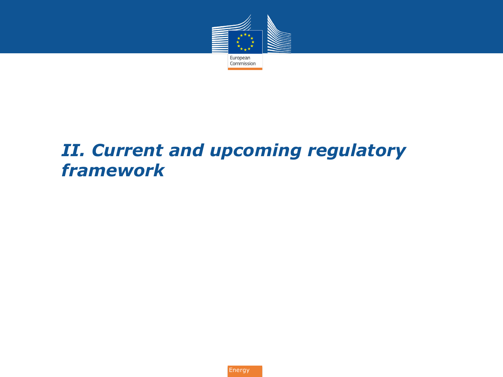

### *I. II. Current and upcoming regulatory framework*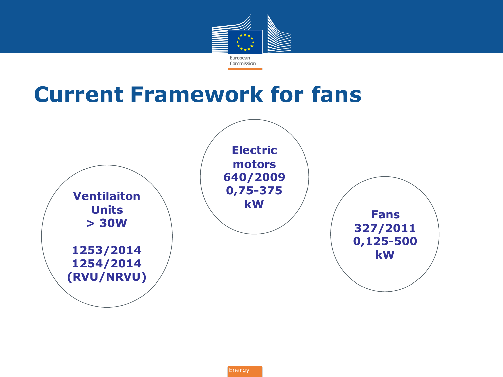

## **Current Framework for fans**

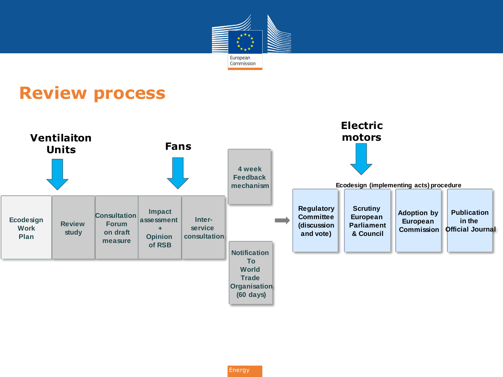

### **Review process**

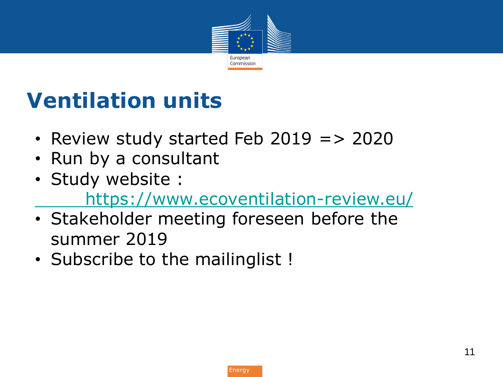

# **Ventilation units**

- Review study started Feb 2019 => 2020
- Run by a consultant
- [Stud](https://www.ecoventilation-review.eu/)y website : <https://www.ecoventilation-review.eu/>
- Stakeholder meeting foreseen before the summer 2019
- Subscribe to the mailinglist !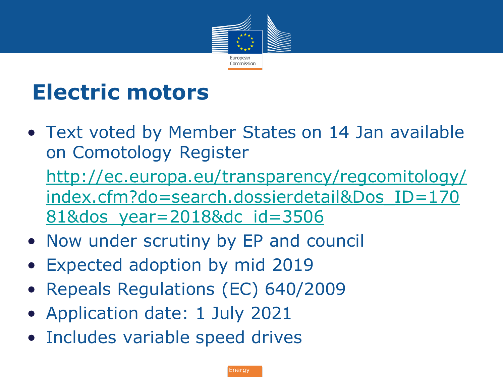

# **Electric motors**

- Text voted by Member States on 14 Jan available on Comotology Register • [http://ec.europa.eu/transparency/regcomitology/](http://ec.europa.eu/transparency/regcomitology/index.cfm?do=search.dossierdetail&Dos_ID=17081&dos_year=2018&dc_id=3506) [index.cfm?do=search.dossierdetail&Dos\\_ID=170](http://ec.europa.eu/transparency/regcomitology/index.cfm?do=search.dossierdetail&Dos_ID=17081&dos_year=2018&dc_id=3506) [81&dos\\_year=2018&dc\\_id=3506](http://ec.europa.eu/transparency/regcomitology/index.cfm?do=search.dossierdetail&Dos_ID=17081&dos_year=2018&dc_id=3506)
- Now under scrutiny by EP and council
- Expected adoption by mid 2019
- Repeals Regulations (EC) 640/2009
- Application date: 1 July 2021
- Includes variable speed drives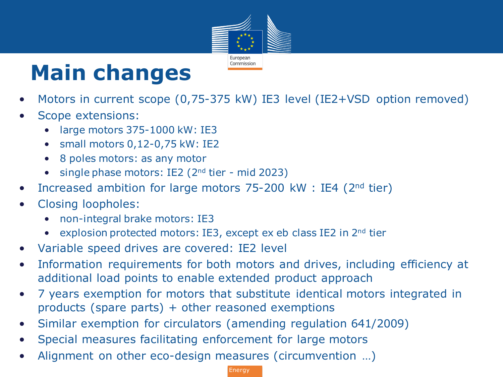

# **Main changes**

- Motors in current scope (0,75-375 kW) IE3 level (IE2+VSD option removed)
- Scope extensions:
	- large motors 375-1000 kW: IE3
	- small motors 0,12-0,75 kW: IE2
	- 8 poles motors: as any motor
	- single phase motors: IE2 (2<sup>nd</sup> tier mid 2023)
- Increased ambition for large motors 75-200 kW : IE4 (2nd tier)
- Closing loopholes:
	- non-integral brake motors: IE3
	- explosion protected motors: IE3, except ex eb class IE2 in 2<sup>nd</sup> tier
- Variable speed drives are covered: IE2 level
- Information requirements for both motors and drives, including efficiency at additional load points to enable extended product approach
- 7 years exemption for motors that substitute identical motors integrated in products (spare parts) + other reasoned exemptions
- Similar exemption for circulators (amending regulation 641/2009)
- Special measures facilitating enforcement for large motors
- Alignment on other eco-design measures (circumvention …)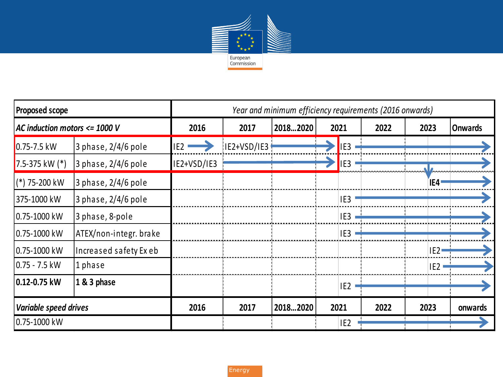

| <b>Proposed scope</b>         |                         | Year and minimum efficiency requirements (2016 onwards) |             |          |  |                 |      |                 |                |
|-------------------------------|-------------------------|---------------------------------------------------------|-------------|----------|--|-----------------|------|-----------------|----------------|
| AC induction motors <= 1000 V |                         | 2016                                                    | 2017        | 20182020 |  | 2021            | 2022 | 2023            | <b>Onwards</b> |
| $0.75 - 7.5$ kW               | $3$ phase, $2/4/6$ pole | IE <sub>2</sub>                                         | IE2+VSD/IE3 |          |  | IE3             |      |                 |                |
| 7.5-375 kW $(*)$              | $3$ phase, $2/4/6$ pole | IE2+VSD/IE3                                             |             |          |  | IE3             |      |                 |                |
| $(*)$ 75-200 kW               | $3$ phase, $2/4/6$ pole |                                                         |             |          |  |                 |      | ÏE4ª            |                |
| 375-1000 kW                   | $3$ phase, $2/4/6$ pole |                                                         |             |          |  | IE3             |      |                 |                |
| 0.75-1000 kW                  | 3 phase, 8-pole         |                                                         |             |          |  | IE3             |      |                 |                |
| 0.75-1000 kW                  | ATEX/non-integr. brake  |                                                         |             |          |  | IE3             |      |                 |                |
| 0.75-1000 kW                  | Increased safety Exeb   |                                                         |             |          |  |                 |      | IE2             |                |
| $0.75 - 7.5$ kW               | 1 phase                 |                                                         |             |          |  |                 |      | IE <sub>2</sub> |                |
| 0.12-0.75 kW                  | 1 & 3 phase             |                                                         |             |          |  | IE <sub>2</sub> |      |                 |                |
| Variable speed drives         |                         | 2016                                                    | 2017        | 20182020 |  | 2021            | 2022 | 2023            | onwards        |
| 0.75-1000 kW                  |                         |                                                         |             |          |  | IE <sub>2</sub> |      |                 |                |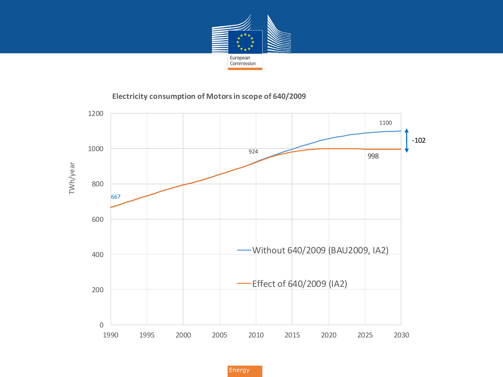

#### **Electricity consumption of Motors in scope of 640/2009**

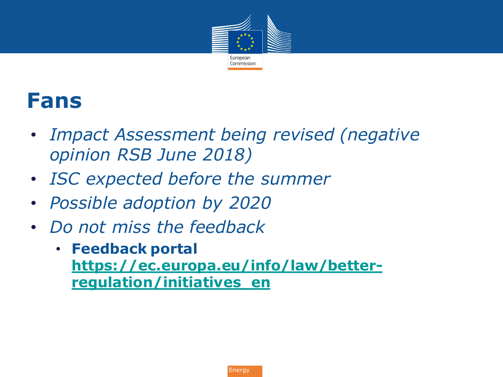

## **Fans**

- *Impact Assessment being revised (negative opinion RSB June 2018)*
- *ISC expected before the summer*
- *Possible adoption by 2020*
- *Do not miss the feedback*
	- **Feedback portal [https://ec.europa.eu/info/law/better](https://ec.europa.eu/info/law/better-regulation/initiatives_en)[regulation/initiatives\\_en](https://ec.europa.eu/info/law/better-regulation/initiatives_en)**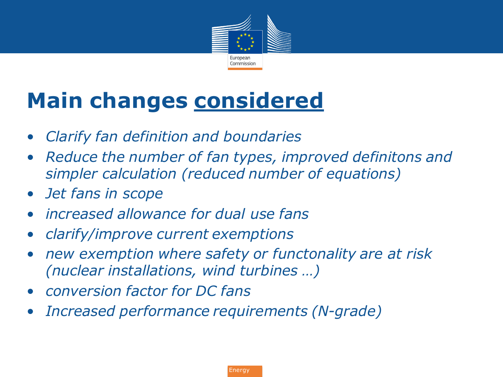

# **Main changes considered**

- *Clarify fan definition and boundaries*
- *Reduce the number of fan types, improved definitons and simpler calculation (reduced number of equations)*
- *Jet fans in scope*
- *increased allowance for dual use fans*
- *clarify/improve current exemptions*
- *new exemption where safety or functonality are at risk (nuclear installations, wind turbines …)*
- *conversion factor for DC fans*
- *Increased performance requirements (N-grade)*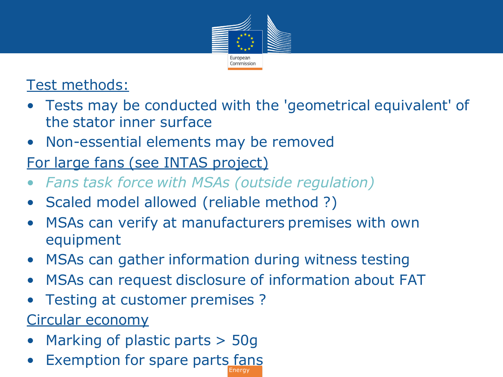

### Test methods:

- Tests may be conducted with the 'geometrical equivalent' of the stator inner surface
- Non-essential elements may be removed
- For large fans (see INTAS project)
- *Fans task force with MSAs (outside regulation)*
- Scaled model allowed (reliable method ?)
- MSAs can verify at manufacturers premises with own equipment
- MSAs can gather information during witness testing
- MSAs can request disclosure of information about FAT
- Testing at customer premises ?

Circular economy

- Marking of plastic parts > 50g
- Exemption for spare parts fans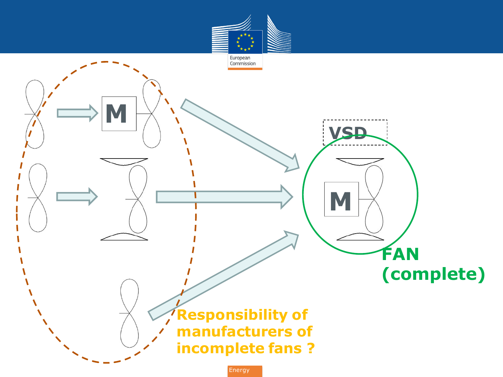